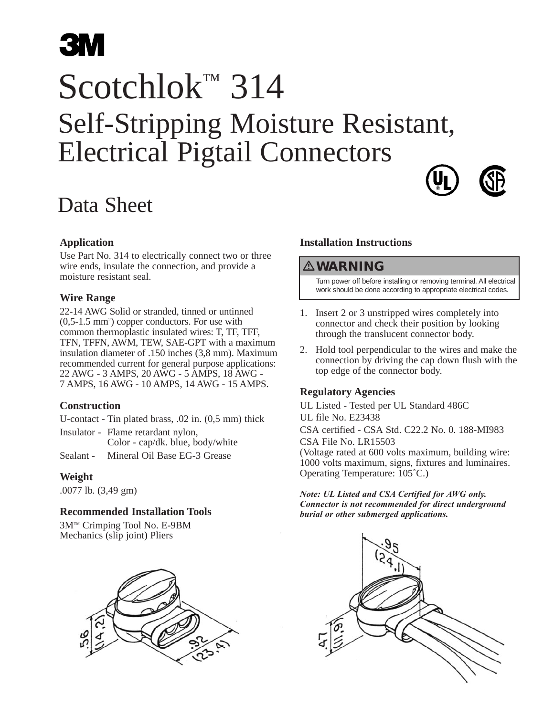# **3M**

## Scotchlok™ 314 Self-Stripping Moisture Resistant, Electrical Pigtail Connectors



### Data Sheet

#### **Application**

Use Part No. 314 to electrically connect two or three wire ends, insulate the connection, and provide a moisture resistant seal.

#### **Wire Range**

22-14 AWG Solid or stranded, tinned or untinned (0,5-1.5 mm2 ) copper conductors. For use with common thermoplastic insulated wires: T, TF, TFF, TFN, TFFN, AWM, TEW, SAE-GPT with a maximum insulation diameter of .150 inches (3,8 mm). Maximum recommended current for general purpose applications: 22 AWG - 3 AMPS, 20 AWG - 5 AMPS, 18 AWG - 7 AMPS, 16 AWG - 10 AMPS, 14 AWG - 15 AMPS.

#### **Construction**

U-contact - Tin plated brass, .02 in. (0,5 mm) thick

Insulator - Flame retardant nylon, Color - cap/dk. blue, body/white Sealant - Mineral Oil Base EG-3 Grease

#### **Weight**

.0077 lb. (3,49 gm)

#### **Recommended Installation Tools**

3M™ Crimping Tool No. E-9BM Mechanics (slip joint) Pliers



#### **Installation Instructions**

#### **WARNING**

Turn power off before installing or removing terminal. All electrical work should be done according to appropriate electrical codes.

- 1. Insert 2 or 3 unstripped wires completely into connector and check their position by looking through the translucent connector body.
- 2. Hold tool perpendicular to the wires and make the connection by driving the cap down flush with the top edge of the connector body.

#### **Regulatory Agencies**

UL Listed - Tested per UL Standard 486C UL file No. E23438 CSA certified - CSA Std. C22.2 No. 0. 188-MI983 CSA File No. LR15503 (Voltage rated at 600 volts maximum, building wire: 1000 volts maximum, signs, fixtures and luminaires.

Operating Temperature: 105˚C.) *Note: UL Listed and CSA Certified for AWG only. Connector is not recommended for direct underground burial or other submerged applications.*